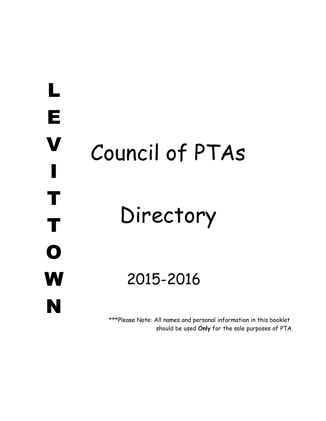# E V I T T O W N Council of PTAs Directory 2021-2022

L

\*\*\*Please Note: All names and personal information in this booklet should be used **Only** for the sole purpose of PTA business.\*\*\*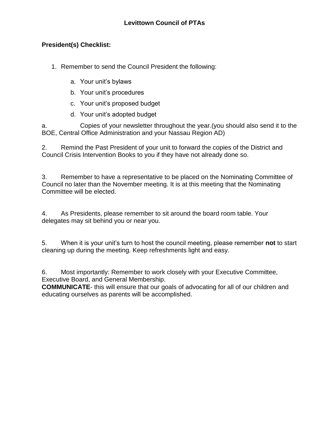### **President(s) Checklist:**

1. Remember to send the Council President the following:

- a. Your unit's bylaws
- b. Your unit's procedures
- c. Your unit's proposed budget
- d. Your unit's adopted budget

a. Copies of your newsletter throughout the year.(you should also send it to the BOE, Central Office Administration and your Nassau Region AD)

2. Remind the Past President of your unit to forward the copies of the District and Council Crisis Intervention Books to you if they have not already done so.

3. Remember to have a representative to be placed on the Nominating Committee of Council no later than the November meeting. It is at this meeting that the Nominating Committee will be elected.

4. As Presidents, please remember to sit around the board room table. Your delegates may sit behind you or near you.

5. When it is your unit's turn to host the council meeting, please remember **not** to start cleaning up during the meeting. Keep refreshments light and easy.

6. Most importantly: Remember to work closely with your Executive Committee, Executive Board, and General Membership.

**COMMUNICATE**- this will ensure that our goals of advocating for all of our children and educating ourselves as parents will be accomplished.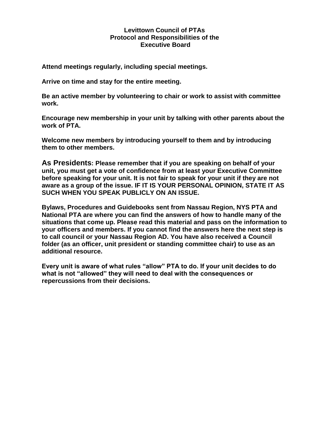#### **Levittown Council of PTAs Protocol and Responsibilities of the Executive Board**

**Attend meetings regularly, including special meetings.** 

**Arrive on time and stay for the entire meeting.** 

**Be an active member by volunteering to chair or work to assist with committee work.** 

**Encourage new membership in your unit by talking with other parents about the work of PTA.** 

**Welcome new members by introducing yourself to them and by introducing them to other members.** 

**As Presidents: Please remember that if you are speaking on behalf of your unit, you must get a vote of confidence from at least your Executive Committee before speaking for your unit. It is not fair to speak for your unit if they are not aware as a group of the issue. IF IT IS YOUR PERSONAL OPINION, STATE IT AS SUCH WHEN YOU SPEAK PUBLICLY ON AN ISSUE.** 

**Bylaws, Procedures and Guidebooks sent from Nassau Region, NYS PTA and National PTA are where you can find the answers of how to handle many of the situations that come up. Please read this material and pass on the information to your officers and members. If you cannot find the answers here the next step is to call council or your Nassau Region AD. You have also received a Council folder (as an officer, unit president or standing committee chair) to use as an additional resource.**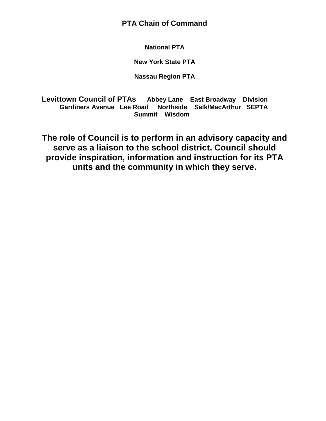**PTA Chain of Command** 

**National PTA** 

**New York State PTA** 

**Nassau Region PTA** 

**Levittown Council of PTAs Abbey Lane East Broadway Division Gardiners Avenue Lee Road Northside Salk/MacArthur SEPTA Summit Wisdom** 

**The role of Council is to perform in an advisory capacity and serve as a liaison to the school district. Council should provide inspiration, information and instruction for its PTA units and the community in which they serve.**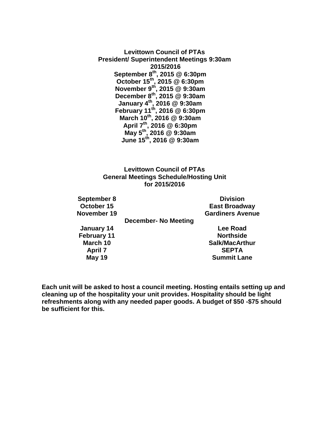**Levittown Council of PTAs President/ Superintendent Meetings @ 6:30pm Council Meetings 2021/2022 September 27th @ 7:30pm October 14 th @ 7:30pm November 18th @ 7:30pm No Meeting January 13th @ 7:30pm February 10 th @ 7:30pm March 10th @ 7:30pm April 6 th @ 7:30pm May 5<sup>th</sup> June 14 th @ 7:30pm**

#### **Levittown Council of PTAs General Meetings Schedule/Hosting Unit for 2021/2022**

| September 27                      | Abbey La          | All meetings for |
|-----------------------------------|-------------------|------------------|
| October 14                        | <b>Division</b>   | the 2021/2022    |
| November 18                       | E Broadway        | school year will |
| <b>December</b>                   | <b>No Meeting</b> | be held at LMEC  |
| January 13                        | <b>Gardiners</b>  | unless otherwise |
| <b>February 10</b>                | <b>Lee Road</b>   | announced.       |
| March 10<br><b>Salk/Macarthur</b> |                   |                  |
| April 6                           | <b>Northside</b>  |                  |
| May 5                             | <b>Summit</b>     |                  |
| June 14                           | <b>Wisdom</b>     |                  |

**Each unit will be asked to host a council meeting. Hosting entails setting up and cleaning up of the hospitality your unit provides. Hospitality should be light refreshments along with any needed paper goods. A budget of \$50 -\$75 should be sufficient for this.**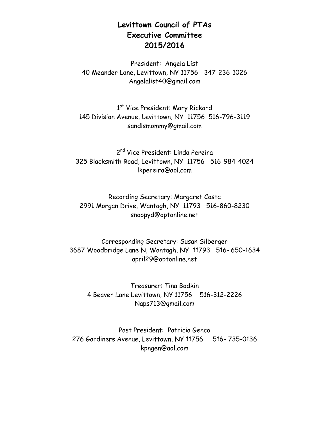## **Levittown Council of PTAs Executive Committee 2021/2022**

President: Michelle Gartleman 516-807-6233 Mamachelle@optonline.net

1<sup>st</sup> Vice President: Mari Ganga 516-658-6071 Mare2112@aol.com

2<sup>nd</sup> Vice President: Carol Sciotto 516-987-7659 Csciotto74@yahoo.com

Recording Secretary: Toni Anne Smith 631-645-9981 Tmacs617@gmail.com

Corresponding Secretary: Sandra Criscione 516- 984-6896 Sgm300@aol.com

> Treasurer: Kathleen Pedrick 516-306-5686 Kpedrickpta@gmail.com

Past President: Tina Bodkin 516-312-2226 Naps713@gmail.com